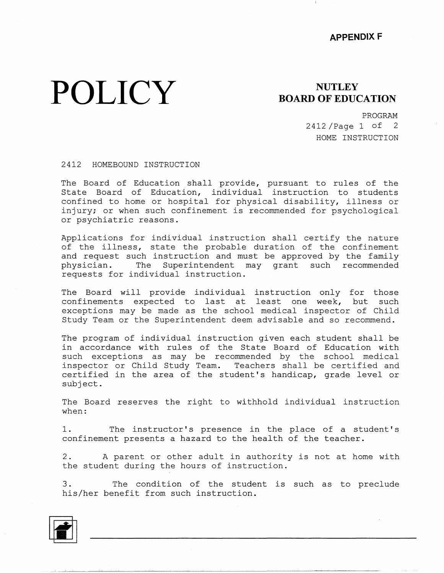## **POLICY**

## **NUTLEY BOARD OF EDUCATION**

PROGRAM 2412 /Page 1 of 2 HOME INSTRUCTION

## 2412 HOMEBOUND INSTRUCTION

The Board of Education shall provide, pursuant to rules of the State Board of Education, individual instruction to students confined to home or hospital for physical disability, illness or injury; or when such confinement is recommended for psychologi or psychiatric reasons.

Applications for individual instruction shall certify the nature of the illness, state the probable duration of the confinement and request such instruction and must be approved by the family physician. The Superintendent may grant such recommended requests for individual instruction.

The Board will provide individual instruction only for those confinements expected to last at least one week, but such exceptions may be made as the school medical inspector of Chil Study Team or the Superintendent deem advisable and so recommend.

The program of individual instruction given each student shall be in accordance with rules of the State Board of Education with such exceptions as may be recommended by the school medical inspector or Child Study Team. Teachers shall be certified and certified in the area of the student's handicap, grade level or subject.

The Board reserves the right to withhold individual instruction when:

1. The instructor's presence in the place of a student's confinement presents a hazard to the health of the teacher.

2. A parent or other adult in authority is not at home with the student during the hours of instruction.

3. The condition of the student is such as to preclude his/her benefit from such instruction.